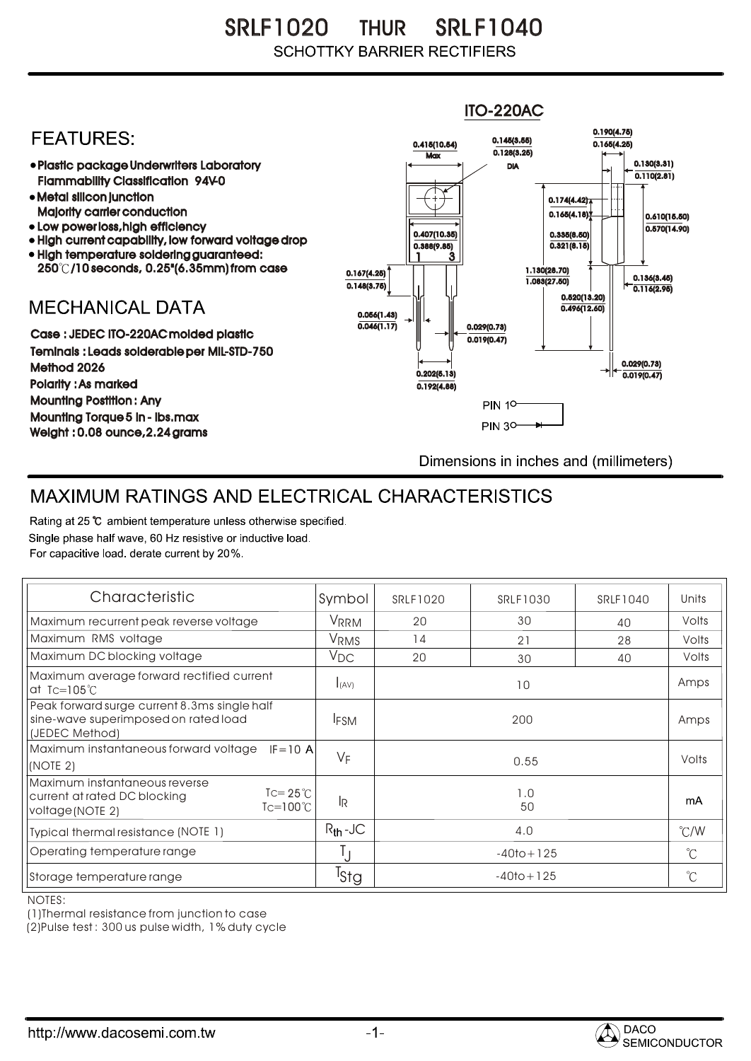SRLF1020 THUR SRLF1040 **SCHOTTKY BARRIER RECTIFIERS** 

## ITO-220AC0.190(4.75) **FEATURES:** 0.145(3.55) 0.415(10.54) 0.165(4.25)  $Max \overline{0.128(3.25)}$ 0.130(3.31) Plastic package Underwriters Laboratory DIA  $\overline{0.110(2.81)}$ Flammability Classification 94V-0 Metal silicon junction  $0.174(4.42)$ Majority carrier conduction  $0.165(4.18)$ 0.610(15.50) • Low power loss, high efficiency  $0.570(14.90)$ 0.407(10.35) 0.335(8.50) • High current capability, low forward voltage drop  $0.321(8.15)$ 0.388(9.85) High temperature soldering guaranteed: 1 3 250 /10 seconds, 0.25"(6.35mm) from case 0.167(4.25) 1.130(28.70) 0.136(3.45) 0.148(3.75) 1.083(27.50) 0.116(2.95) 0.520(13.20) **MECHANICAL DATA**  $0.496(12.60)$ 0.056(1.43)  $\overline{0.046(1.17)}$   $\overline{ }$   $\parallel$   $\parallel$   $\parallel$  0.029(0.73) Case : JEDEC ITO-220AC molded plastic 0.019(0.47) Teminals : Leads solderable per MIL-STD-750 0.029(0.73) Method 2026  $0.202(5.13)$   $\rightarrow$   $\mid$   $\leftarrow$   $\frac{}{0.019(0.47)}$ Polarity : As marked 0.192(4.88) Mounting Postition : Any **PIN 10** Mounting Torque 5 in - lbs.max **PIN 30-**Weight : 0.08 ounce,2.24 grams Dimensions in inches and (millimeters)

## MAXIMUM RATINGS AND ELECTRICAL CHARACTERISTICS

Rating at 25 °C ambient temperature unless otherwise specified. Single phase half wave, 60 Hz resistive or inductive load. For capacitive load, derate current by 20%.

| Characteristic                                                                                                                    | Symbol            | SRLF1020       | SRLF1030 | SRLF1040 | Units         |
|-----------------------------------------------------------------------------------------------------------------------------------|-------------------|----------------|----------|----------|---------------|
| Maximum recurrent peak reverse voltage                                                                                            | <b>VRRM</b>       | 20             | 30       | 40       | Volts         |
| Maximum RMS voltage                                                                                                               | VRMS              | 14             | 21       | 28       | Volts         |
| Maximum DC blocking voltage                                                                                                       | $V_{\mathsf{DC}}$ | 20             | 30       | 40       | Volts         |
| Maximum average forward rectified current<br>at Tc=105 $\degree$ C                                                                | I(AV)             | 10             |          |          | Amps          |
| Peak forward surge current 8.3ms single half<br>sine-wave superimposed on rated load<br>(JEDEC Method)                            | <b>IFSM</b>       | 200            |          |          | Amps          |
| Maximum instantaneous forward voltage<br>$IF = 10 A$<br>(NOTE 2)                                                                  | $V_F$             | 0.55           |          |          | Volts         |
| Maximum instantaneous reverse<br>$\text{I} = 25^{\circ}$<br>current at rated DC blocking<br>$Tc=100^{\circ}C$<br>voltage (NOTE 2) | lŖ.               | 1.0<br>50      |          |          | mA            |
| Typical thermal resistance (NOTE 1)                                                                                               | $R_{th}$ -JC      | 4.0            |          |          | $\degree$ C/W |
| Operating temperature range                                                                                                       | $\perp$           | $-40$ to + 125 |          |          | $^{\circ}$ C  |
| Storage temperature range                                                                                                         | <sup>I</sup> Stg  | $-40$ to + 125 |          |          | $^{\circ}C$   |

NOTES:

(1)Thermal resistance from junction to case

(2)Pulse test : 300 us pulse width, 1% duty cycle